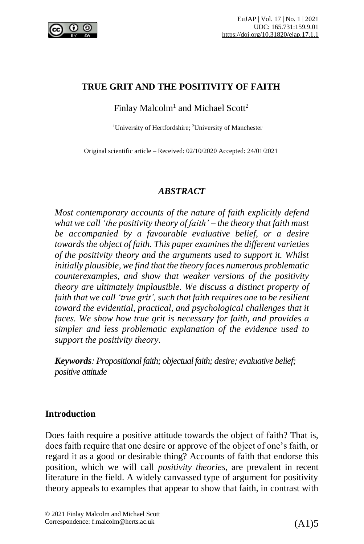

#### **TRUE GRIT AND THE POSITIVITY OF FAITH**

Finlay Malcolm $^1$  and Michael Scott $^2$ 

<sup>1</sup>University of Hertfordshire; <sup>2</sup>University of Manchester

Original scientific article – Received: 02/10/2020 Accepted: 24/01/2021

#### *ABSTRACT*

*Most contemporary accounts of the nature of faith explicitly defend what we call 'the positivity theory of faith' – the theory that faith must be accompanied by a favourable evaluative belief, or a desire towards the object of faith. This paper examinesthe different varieties of the positivity theory and the arguments used to support it. Whilst initially plausible, we find that the theory faces numerous problematic counterexamples, and show that weaker versions of the positivity theory are ultimately implausible. We discuss a distinct property of faith that we call 'true grit', such that faith requires one to be resilient toward the evidential, practical, and psychological challenges that it faces. We show how true grit is necessary for faith, and provides a simpler and less problematic explanation of the evidence used to support the positivity theory.*

*Keywords: Propositional faith; objectual faith; desire; evaluative belief; positive attitude*

## **Introduction**

Does faith require a positive attitude towards the object of faith? That is, does faith require that one desire or approve of the object of one's faith, or regard it as a good or desirable thing? Accounts of faith that endorse this position, which we will call *positivity theories*, are prevalent in recent literature in the field. A widely canvassed type of argument for positivity theory appeals to examples that appear to show that faith, in contrast with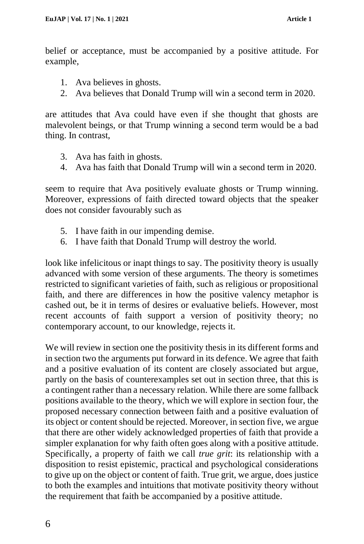belief or acceptance, must be accompanied by a positive attitude. For example,

- 1. Ava believes in ghosts.
- 2. Ava believes that Donald Trump will win a second term in 2020.

are attitudes that Ava could have even if she thought that ghosts are malevolent beings, or that Trump winning a second term would be a bad thing. In contrast,

- 3. Ava has faith in ghosts.
- 4. Ava has faith that Donald Trump will win a second term in 2020.

seem to require that Ava positively evaluate ghosts or Trump winning. Moreover, expressions of faith directed toward objects that the speaker does not consider favourably such as

- 5. I have faith in our impending demise.
- 6. I have faith that Donald Trump will destroy the world.

look like infelicitous or inapt things to say. The positivity theory is usually advanced with some version of these arguments. The theory is sometimes restricted to significant varieties of faith, such as religious or propositional faith, and there are differences in how the positive valency metaphor is cashed out, be it in terms of desires or evaluative beliefs. However, most recent accounts of faith support a version of positivity theory; no contemporary account, to our knowledge, rejects it.

We will review in section one the positivity thesis in its different forms and in section two the arguments put forward in its defence. We agree that faith and a positive evaluation of its content are closely associated but argue, partly on the basis of counterexamples set out in section three, that this is a contingent rather than a necessary relation. While there are some fallback positions available to the theory, which we will explore in section four, the proposed necessary connection between faith and a positive evaluation of its object or content should be rejected. Moreover, in section five, we argue that there are other widely acknowledged properties of faith that provide a simpler explanation for why faith often goes along with a positive attitude. Specifically, a property of faith we call *true grit*: its relationship with a disposition to resist epistemic, practical and psychological considerations to give up on the object or content of faith. True grit, we argue, does justice to both the examples and intuitions that motivate positivity theory without the requirement that faith be accompanied by a positive attitude.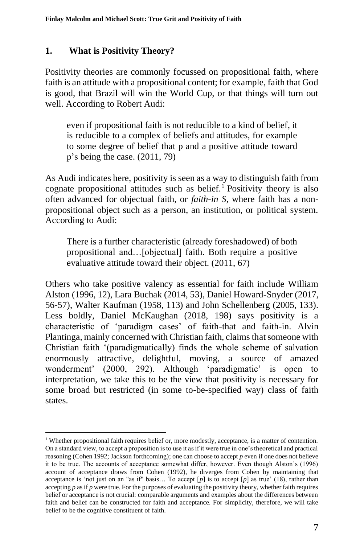## **1. What is Positivity Theory?**

Positivity theories are commonly focussed on propositional faith, where faith is an attitude with a propositional content; for example, faith that God is good, that Brazil will win the World Cup, or that things will turn out well. According to Robert Audi:

even if propositional faith is not reducible to a kind of belief, it is reducible to a complex of beliefs and attitudes, for example to some degree of belief that p and a positive attitude toward p's being the case. (2011, 79)

As Audi indicates here, positivity is seen as a way to distinguish faith from cognate propositional attitudes such as belief.<sup>1</sup> Positivity theory is also often advanced for objectual faith, or *faith-in S*, where faith has a nonpropositional object such as a person, an institution, or political system. According to Audi:

There is a further characteristic (already foreshadowed) of both propositional and…[objectual] faith. Both require a positive evaluative attitude toward their object. (2011, 67)

Others who take positive valency as essential for faith include William Alston (1996, 12), Lara Buchak (2014, 53), Daniel Howard-Snyder (2017, 56-57), Walter Kaufman (1958, 113) and John Schellenberg (2005, 133). Less boldly, Daniel McKaughan (2018, 198) says positivity is a characteristic of 'paradigm cases' of faith-that and faith-in. Alvin Plantinga, mainly concerned with Christian faith, claims that someone with Christian faith '(paradigmatically) finds the whole scheme of salvation enormously attractive, delightful, moving, a source of amazed wonderment' (2000, 292). Although 'paradigmatic' is open to interpretation, we take this to be the view that positivity is necessary for some broad but restricted (in some to-be-specified way) class of faith states.

<sup>1</sup> Whether propositional faith requires belief or, more modestly, acceptance, is a matter of contention. On a standard view, to accept a proposition is to use it as if it were true in one's theoretical and practical reasoning (Cohen 1992; Jackson forthcoming); one can choose to accept *p* even if one does not believe it to be true. The accounts of acceptance somewhat differ, however. Even though Alston's (1996) account of acceptance draws from Cohen (1992), he diverges from Cohen by maintaining that acceptance is 'not just on an "as if" basis… To accept [*p*] is to accept [*p*] as true' (18), rather than accepting *p* as if *p* were true. For the purposes of evaluating the positivity theory, whether faith requires belief or acceptance is not crucial: comparable arguments and examples about the differences between faith and belief can be constructed for faith and acceptance. For simplicity, therefore, we will take belief to be the cognitive constituent of faith.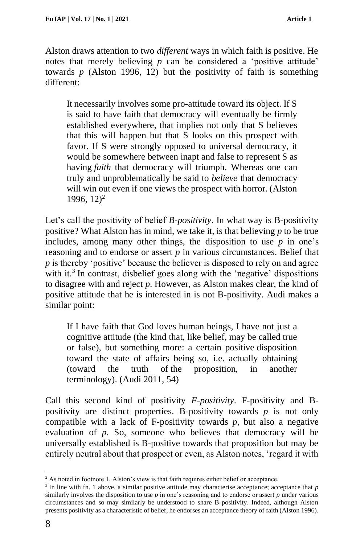Alston draws attention to two *different* ways in which faith is positive. He notes that merely believing *p* can be considered a 'positive attitude' towards  $p$  (Alston 1996, 12) but the positivity of faith is something different:

It necessarily involves some pro-attitude toward its object. If S is said to have faith that democracy will eventually be firmly established everywhere, that implies not only that S believes that this will happen but that S looks on this prospect with favor. If S were strongly opposed to universal democracy, it would be somewhere between inapt and false to represent S as having *faith* that democracy will triumph. Whereas one can truly and unproblematically be said to *believe* that democracy will win out even if one views the prospect with horror. (Alston 1996,  $12$ <sup>2</sup>

Let's call the positivity of belief *B-positivity*. In what way is B-positivity positive? What Alston has in mind, we take it, is that believing *p* to be true includes, among many other things, the disposition to use  $p$  in one's reasoning and to endorse or assert *p* in various circumstances. Belief that *p* is thereby 'positive' because the believer is disposed to rely on and agree with it.<sup>3</sup> In contrast, disbelief goes along with the 'negative' dispositions to disagree with and reject *p*. However, as Alston makes clear, the kind of positive attitude that he is interested in is not B-positivity. Audi makes a similar point:

If I have faith that God loves human beings, I have not just a cognitive attitude (the kind that, like belief, may be called true or false), but something more: a certain positive disposition toward the state of affairs being so, i.e. actually obtaining (toward the truth of the proposition, in another terminology). (Audi 2011, 54)

Call this second kind of positivity *F-positivity*. F-positivity and Bpositivity are distinct properties. B-positivity towards *p* is not only compatible with a lack of F-positivity towards *p*, but also a negative evaluation of *p.* So, someone who believes that democracy will be universally established is B-positive towards that proposition but may be entirely neutral about that prospect or even, as Alston notes, 'regard it with

<sup>&</sup>lt;sup>2</sup> As noted in footnote 1, Alston's view is that faith requires either belief or acceptance.

<sup>3</sup> In line with fn. 1 above, a similar positive attitude may characterise acceptance; acceptance that *p*  similarly involves the disposition to use *p* in one's reasoning and to endorse or assert *p* under various circumstances and so may similarly be understood to share B-positivity. Indeed, although Alston presents positivity as a characteristic of belief, he endorses an acceptance theory of faith (Alston 1996).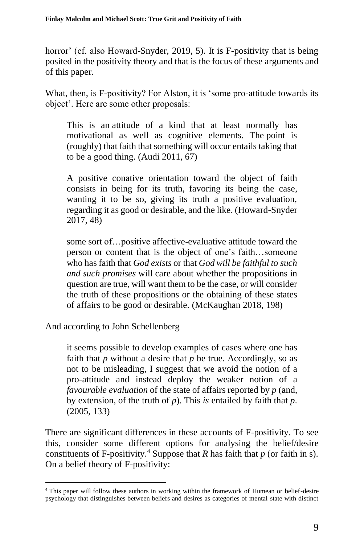horror' (cf. also Howard-Snyder, 2019, 5). It is F-positivity that is being posited in the positivity theory and that is the focus of these arguments and of this paper.

What, then, is F-positivity? For Alston, it is 'some pro-attitude towards its object'. Here are some other proposals:

This is an attitude of a kind that at least normally has motivational as well as cognitive elements. The point is (roughly) that faith that something will occur entails taking that to be a good thing. (Audi 2011, 67)

A positive conative orientation toward the object of faith consists in being for its truth, favoring its being the case, wanting it to be so, giving its truth a positive evaluation, regarding it as good or desirable, and the like. (Howard-Snyder 2017, 48)

some sort of…positive affective-evaluative attitude toward the person or content that is the object of one's faith…someone who has faith that *God exists* or that *God will be faithful to such and such promises* will care about whether the propositions in question are true, will want them to be the case, or will consider the truth of these propositions or the obtaining of these states of affairs to be good or desirable. (McKaughan 2018, 198)

And according to John Schellenberg

it seems possible to develop examples of cases where one has faith that *p* without a desire that *p* be true. Accordingly, so as not to be misleading, I suggest that we avoid the notion of a pro-attitude and instead deploy the weaker notion of a *favourable evaluation* of the state of affairs reported by *p* (and, by extension, of the truth of *p*). This *is* entailed by faith that *p*. (2005, 133)

There are significant differences in these accounts of F-positivity. To see this, consider some different options for analysing the belief/desire constituents of F-positivity.<sup>4</sup> Suppose that *R* has faith that  $p$  (or faith in s). On a belief theory of F-positivity:

<sup>4</sup> This paper will follow these authors in working within the framework of Humean or belief-desire psychology that distinguishes between beliefs and desires as categories of mental state with distinct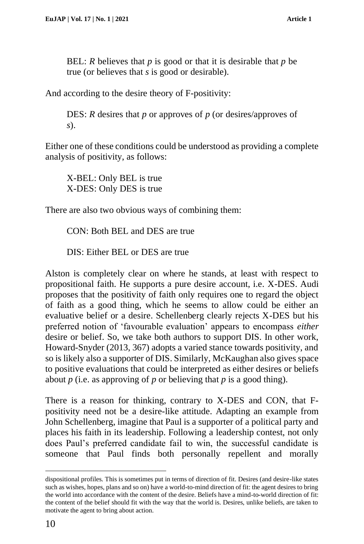BEL: *R* believes that *p* is good or that it is desirable that *p* be true (or believes that *s* is good or desirable).

And according to the desire theory of F-positivity:

DES: *R* desires that *p* or approves of *p* (or desires/approves of *s*).

Either one of these conditions could be understood as providing a complete analysis of positivity, as follows:

X-BEL: Only BEL is true X-DES: Only DES is true

There are also two obvious ways of combining them:

CON: Both BEL and DES are true

DIS: Either BEL or DES are true

Alston is completely clear on where he stands, at least with respect to propositional faith. He supports a pure desire account, i.e. X-DES. Audi proposes that the positivity of faith only requires one to regard the object of faith as a good thing, which he seems to allow could be either an evaluative belief or a desire. Schellenberg clearly rejects X-DES but his preferred notion of 'favourable evaluation' appears to encompass *either* desire or belief. So, we take both authors to support DIS. In other work, Howard-Snyder (2013, 367) adopts a varied stance towards positivity, and so is likely also a supporter of DIS. Similarly, McKaughan also gives space to positive evaluations that could be interpreted as either desires or beliefs about *p* (i.e. as approving of *p* or believing that *p* is a good thing).

There is a reason for thinking, contrary to X-DES and CON, that Fpositivity need not be a desire-like attitude. Adapting an example from John Schellenberg, imagine that Paul is a supporter of a political party and places his faith in its leadership. Following a leadership contest, not only does Paul's preferred candidate fail to win, the successful candidate is someone that Paul finds both personally repellent and morally

dispositional profiles. This is sometimes put in terms of direction of fit. Desires (and desire-like states such as wishes, hopes, plans and so on) have a world-to-mind direction of fit: the agent desires to bring the world into accordance with the content of the desire. Beliefs have a mind-to-world direction of fit: the content of the belief should fit with the way that the world is. Desires, unlike beliefs, are taken to motivate the agent to bring about action.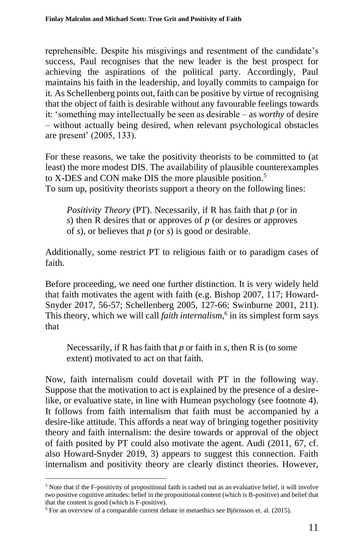reprehensible. Despite his misgivings and resentment of the candidate's success, Paul recognises that the new leader is the best prospect for achieving the aspirations of the political party. Accordingly, Paul maintains his faith in the leadership, and loyally commits to campaign for it. As Schellenberg points out, faith can be positive by virtue of recognising that the object of faith is desirable without any favourable feelings towards it: 'something may intellectually be seen as desirable – as *worthy* of desire – without actually being desired, when relevant psychological obstacles are present' (2005, 133).

For these reasons, we take the positivity theorists to be committed to (at least) the more modest DIS. The availability of plausible counterexamples to X-DES and CON make DIS the more plausible position.<sup>5</sup> To sum up, positivity theorists support a theory on the following lines:

*Positivity Theory* (PT). Necessarily, if R has faith that *p* (or in *s*) then R desires that or approves of *p* (or desires or approves of *s*), or believes that *p* (or *s*) is good or desirable.

Additionally, some restrict PT to religious faith or to paradigm cases of faith.

Before proceeding, we need one further distinction. It is very widely held that faith motivates the agent with faith (e.g. Bishop 2007, 117; Howard-Snyder 2017, 56-57; Schellenberg 2005, 127-66; Swinburne 2001, 211). This theory, which we will call *faith internalism*, 6 in its simplest form says that

Necessarily, if R has faith that *p* or faith in *s*, then R is (to some extent) motivated to act on that faith.

Now, faith internalism could dovetail with PT in the following way. Suppose that the motivation to act is explained by the presence of a desirelike, or evaluative state, in line with Humean psychology (see footnote 4). It follows from faith internalism that faith must be accompanied by a desire-like attitude. This affords a neat way of bringing together positivity theory and faith internalism: the desire towards or approval of the object of faith posited by PT could also motivate the agent. Audi (2011, 67, cf. also Howard-Snyder 2019, 3) appears to suggest this connection. Faith internalism and positivity theory are clearly distinct theories. However,

<sup>5</sup> Note that if the F-positivity of propositional faith is cashed out as an evaluative belief, it will involve *two* positive cognitive attitudes: belief in the propositional content (which is B-positive) and belief that that the content is good (which is F-positive).

<sup>6</sup> For an overview of a comparable current debate in metaethics see Björnsson et. al. (2015).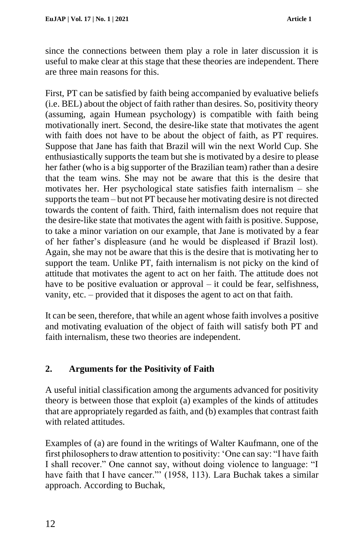since the connections between them play a role in later discussion it is useful to make clear at this stage that these theories are independent. There are three main reasons for this.

First, PT can be satisfied by faith being accompanied by evaluative beliefs (i.e. BEL) about the object of faith rather than desires. So, positivity theory (assuming, again Humean psychology) is compatible with faith being motivationally inert. Second, the desire-like state that motivates the agent with faith does not have to be about the object of faith, as PT requires. Suppose that Jane has faith that Brazil will win the next World Cup. She enthusiastically supports the team but she is motivated by a desire to please her father (who is a big supporter of the Brazilian team) rather than a desire that the team wins. She may not be aware that this is the desire that motivates her. Her psychological state satisfies faith internalism – she supports the team – but not PT because her motivating desire is not directed towards the content of faith. Third, faith internalism does not require that the desire-like state that motivates the agent with faith is positive. Suppose, to take a minor variation on our example, that Jane is motivated by a fear of her father's displeasure (and he would be displeased if Brazil lost). Again, she may not be aware that this is the desire that is motivating her to support the team. Unlike PT, faith internalism is not picky on the kind of attitude that motivates the agent to act on her faith. The attitude does not have to be positive evaluation or approval – it could be fear, selfishness, vanity, etc. – provided that it disposes the agent to act on that faith.

It can be seen, therefore, that while an agent whose faith involves a positive and motivating evaluation of the object of faith will satisfy both PT and faith internalism, these two theories are independent.

## **2. Arguments for the Positivity of Faith**

A useful initial classification among the arguments advanced for positivity theory is between those that exploit (a) examples of the kinds of attitudes that are appropriately regarded as faith, and (b) examples that contrast faith with related attitudes.

Examples of (a) are found in the writings of Walter Kaufmann, one of the first philosophers to draw attention to positivity: 'One can say: "I have faith I shall recover." One cannot say, without doing violence to language: "I have faith that I have cancer."" (1958, 113). Lara Buchak takes a similar approach. According to Buchak,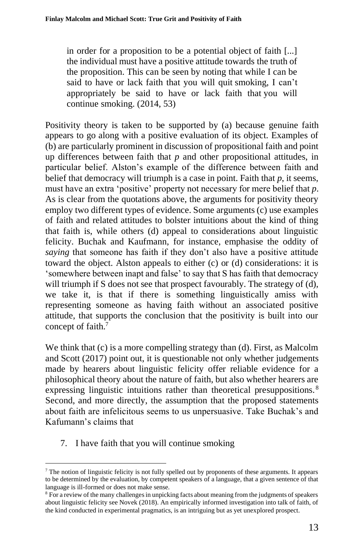in order for a proposition to be a potential object of faith [...] the individual must have a positive attitude towards the truth of the proposition. This can be seen by noting that while I can be said to have or lack faith that you will quit smoking, I can't appropriately be said to have or lack faith that you will continue smoking. (2014, 53)

Positivity theory is taken to be supported by (a) because genuine faith appears to go along with a positive evaluation of its object. Examples of (b) are particularly prominent in discussion of propositional faith and point up differences between faith that *p* and other propositional attitudes, in particular belief. Alston's example of the difference between faith and belief that democracy will triumph is a case in point. Faith that *p*, it seems, must have an extra 'positive' property not necessary for mere belief that *p*. As is clear from the quotations above, the arguments for positivity theory employ two different types of evidence. Some arguments (c) use examples of faith and related attitudes to bolster intuitions about the kind of thing that faith is, while others (d) appeal to considerations about linguistic felicity. Buchak and Kaufmann, for instance, emphasise the oddity of *saying* that someone has faith if they don't also have a positive attitude toward the object. Alston appeals to either (c) or (d) considerations: it is 'somewhere between inapt and false' to say that S has faith that democracy will triumph if S does not see that prospect favourably. The strategy of (d), we take it, is that if there is something linguistically amiss with representing someone as having faith without an associated positive attitude, that supports the conclusion that the positivity is built into our concept of faith.<sup>7</sup>

We think that (c) is a more compelling strategy than (d). First, as Malcolm and Scott (2017) point out, it is questionable not only whether judgements made by hearers about linguistic felicity offer reliable evidence for a philosophical theory about the nature of faith, but also whether hearers are expressing linguistic intuitions rather than theoretical presuppositions.<sup>8</sup> Second, and more directly, the assumption that the proposed statements about faith are infelicitous seems to us unpersuasive. Take Buchak's and Kafumann's claims that

7. I have faith that you will continue smoking

<sup>7</sup> The notion of linguistic felicity is not fully spelled out by proponents of these arguments. It appears to be determined by the evaluation, by competent speakers of a language, that a given sentence of that language is ill-formed or does not make sense.

<sup>8</sup> For a review of the many challenges in unpicking facts about meaning from the judgments of speakers about linguistic felicity see Novek (2018). An empirically informed investigation into talk of faith, of the kind conducted in experimental pragmatics, is an intriguing but as yet unexplored prospect.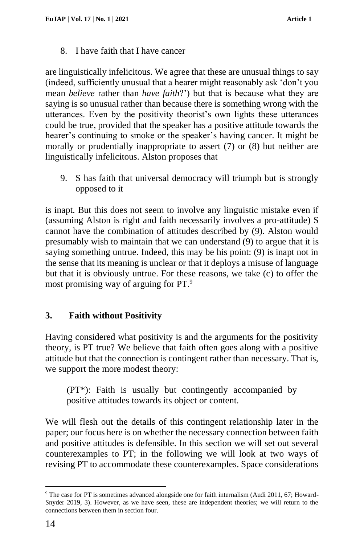8. I have faith that I have cancer

are linguistically infelicitous. We agree that these are unusual things to say (indeed, sufficiently unusual that a hearer might reasonably ask 'don't you mean *believe* rather than *have faith*?') but that is because what they are saying is so unusual rather than because there is something wrong with the utterances. Even by the positivity theorist's own lights these utterances could be true, provided that the speaker has a positive attitude towards the hearer's continuing to smoke or the speaker's having cancer. It might be morally or prudentially inappropriate to assert (7) or (8) but neither are linguistically infelicitous. Alston proposes that

9. S has faith that universal democracy will triumph but is strongly opposed to it

is inapt. But this does not seem to involve any linguistic mistake even if (assuming Alston is right and faith necessarily involves a pro-attitude) S cannot have the combination of attitudes described by (9). Alston would presumably wish to maintain that we can understand (9) to argue that it is saying something untrue. Indeed, this may be his point: (9) is inapt not in the sense that its meaning is unclear or that it deploys a misuse of language but that it is obviously untrue. For these reasons, we take (c) to offer the most promising way of arguing for PT.<sup>9</sup>

## **3. Faith without Positivity**

Having considered what positivity is and the arguments for the positivity theory, is PT true? We believe that faith often goes along with a positive attitude but that the connection is contingent rather than necessary. That is, we support the more modest theory:

(PT\*): Faith is usually but contingently accompanied by positive attitudes towards its object or content.

We will flesh out the details of this contingent relationship later in the paper; our focus here is on whether the necessary connection between faith and positive attitudes is defensible. In this section we will set out several counterexamples to PT; in the following we will look at two ways of revising PT to accommodate these counterexamples. Space considerations

<sup>9</sup> The case for PT is sometimes advanced alongside one for faith internalism (Audi 2011, 67; Howard-Snyder 2019, 3). However, as we have seen, these are independent theories; we will return to the connections between them in section four.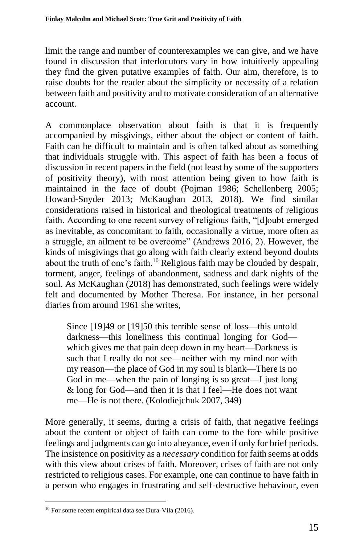limit the range and number of counterexamples we can give, and we have found in discussion that interlocutors vary in how intuitively appealing they find the given putative examples of faith. Our aim, therefore, is to raise doubts for the reader about the simplicity or necessity of a relation between faith and positivity and to motivate consideration of an alternative account.

A commonplace observation about faith is that it is frequently accompanied by misgivings, either about the object or content of faith. Faith can be difficult to maintain and is often talked about as something that individuals struggle with. This aspect of faith has been a focus of discussion in recent papers in the field (not least by some of the supporters of positivity theory), with most attention being given to how faith is maintained in the face of doubt (Pojman 1986; Schellenberg 2005; Howard-Snyder 2013; McKaughan 2013, 2018). We find similar considerations raised in historical and theological treatments of religious faith. According to one recent survey of religious faith, "[d]oubt emerged as inevitable, as concomitant to faith, occasionally a virtue, more often as a struggle, an ailment to be overcome" (Andrews 2016, 2). However, the kinds of misgivings that go along with faith clearly extend beyond doubts about the truth of one's faith.<sup>10</sup> Religious faith may be clouded by despair, torment, anger, feelings of abandonment, sadness and dark nights of the soul. As McKaughan (2018) has demonstrated, such feelings were widely felt and documented by Mother Theresa. For instance, in her personal diaries from around 1961 she writes,

Since [19]49 or [19]50 this terrible sense of loss—this untold darkness—this loneliness this continual longing for God which gives me that pain deep down in my heart—Darkness is such that I really do not see—neither with my mind nor with my reason—the place of God in my soul is blank—There is no God in me—when the pain of longing is so great—I just long & long for God—and then it is that I feel—He does not want me—He is not there. (Kolodiejchuk 2007, 349)

More generally, it seems, during a crisis of faith, that negative feelings about the content or object of faith can come to the fore while positive feelings and judgments can go into abeyance, even if only for brief periods. The insistence on positivity as a *necessary* condition for faith seems at odds with this view about crises of faith. Moreover, crises of faith are not only restricted to religious cases. For example, one can continue to have faith in a person who engages in frustrating and self-destructive behaviour, even

<sup>&</sup>lt;sup>10</sup> For some recent empirical data see Dura-Vila (2016).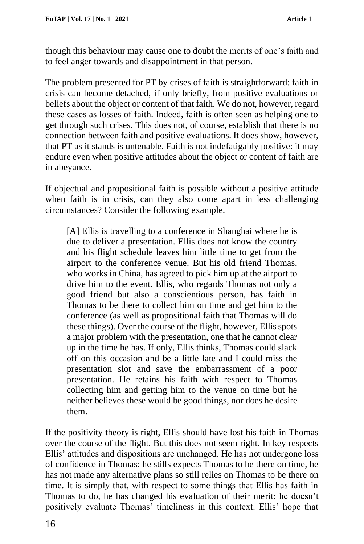though this behaviour may cause one to doubt the merits of one's faith and to feel anger towards and disappointment in that person.

The problem presented for PT by crises of faith is straightforward: faith in crisis can become detached, if only briefly, from positive evaluations or beliefs about the object or content of that faith. We do not, however, regard these cases as losses of faith. Indeed, faith is often seen as helping one to get through such crises. This does not, of course, establish that there is no connection between faith and positive evaluations. It does show, however, that PT as it stands is untenable. Faith is not indefatigably positive: it may endure even when positive attitudes about the object or content of faith are in abeyance.

If objectual and propositional faith is possible without a positive attitude when faith is in crisis, can they also come apart in less challenging circumstances? Consider the following example.

[A] Ellis is travelling to a conference in Shanghai where he is due to deliver a presentation. Ellis does not know the country and his flight schedule leaves him little time to get from the airport to the conference venue. But his old friend Thomas, who works in China, has agreed to pick him up at the airport to drive him to the event. Ellis, who regards Thomas not only a good friend but also a conscientious person, has faith in Thomas to be there to collect him on time and get him to the conference (as well as propositional faith that Thomas will do these things). Over the course of the flight, however, Ellis spots a major problem with the presentation, one that he cannot clear up in the time he has. If only, Ellis thinks, Thomas could slack off on this occasion and be a little late and I could miss the presentation slot and save the embarrassment of a poor presentation. He retains his faith with respect to Thomas collecting him and getting him to the venue on time but he neither believes these would be good things, nor does he desire them.

If the positivity theory is right, Ellis should have lost his faith in Thomas over the course of the flight. But this does not seem right. In key respects Ellis' attitudes and dispositions are unchanged. He has not undergone loss of confidence in Thomas: he stills expects Thomas to be there on time, he has not made any alternative plans so still relies on Thomas to be there on time. It is simply that, with respect to some things that Ellis has faith in Thomas to do, he has changed his evaluation of their merit: he doesn't positively evaluate Thomas' timeliness in this context. Ellis' hope that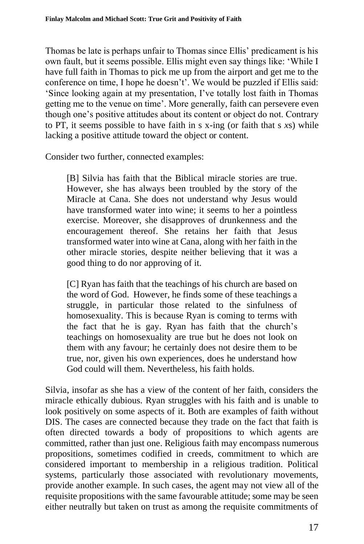Thomas be late is perhaps unfair to Thomas since Ellis' predicament is his own fault, but it seems possible. Ellis might even say things like: 'While I have full faith in Thomas to pick me up from the airport and get me to the conference on time, I hope he doesn't'. We would be puzzled if Ellis said: 'Since looking again at my presentation, I've totally lost faith in Thomas getting me to the venue on time'. More generally, faith can persevere even though one's positive attitudes about its content or object do not. Contrary to PT, it seems possible to have faith in s x-ing (or faith that s *x*s) while lacking a positive attitude toward the object or content.

Consider two further, connected examples:

[B] Silvia has faith that the Biblical miracle stories are true. However, she has always been troubled by the story of the Miracle at Cana. She does not understand why Jesus would have transformed water into wine; it seems to her a pointless exercise. Moreover, she disapproves of drunkenness and the encouragement thereof. She retains her faith that Jesus transformed water into wine at Cana, along with her faith in the other miracle stories, despite neither believing that it was a good thing to do nor approving of it.

[C] Ryan has faith that the teachings of his church are based on the word of God. However, he finds some of these teachings a struggle, in particular those related to the sinfulness of homosexuality. This is because Ryan is coming to terms with the fact that he is gay. Ryan has faith that the church's teachings on homosexuality are true but he does not look on them with any favour; he certainly does not desire them to be true, nor, given his own experiences, does he understand how God could will them. Nevertheless, his faith holds.

Silvia, insofar as she has a view of the content of her faith, considers the miracle ethically dubious. Ryan struggles with his faith and is unable to look positively on some aspects of it. Both are examples of faith without DIS. The cases are connected because they trade on the fact that faith is often directed towards a body of propositions to which agents are committed, rather than just one. Religious faith may encompass numerous propositions, sometimes codified in creeds, commitment to which are considered important to membership in a religious tradition. Political systems, particularly those associated with revolutionary movements, provide another example. In such cases, the agent may not view all of the requisite propositions with the same favourable attitude; some may be seen either neutrally but taken on trust as among the requisite commitments of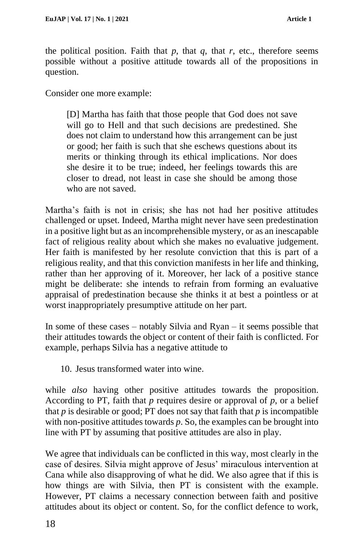the political position. Faith that  $p$ , that  $q$ , that  $r$ , etc., therefore seems possible without a positive attitude towards all of the propositions in question.

Consider one more example:

[D] Martha has faith that those people that God does not save will go to Hell and that such decisions are predestined. She does not claim to understand how this arrangement can be just or good; her faith is such that she eschews questions about its merits or thinking through its ethical implications. Nor does she desire it to be true; indeed, her feelings towards this are closer to dread, not least in case she should be among those who are not saved.

Martha's faith is not in crisis; she has not had her positive attitudes challenged or upset. Indeed, Martha might never have seen predestination in a positive light but as an incomprehensible mystery, or as an inescapable fact of religious reality about which she makes no evaluative judgement. Her faith is manifested by her resolute conviction that this is part of a religious reality, and that this conviction manifests in her life and thinking, rather than her approving of it. Moreover, her lack of a positive stance might be deliberate: she intends to refrain from forming an evaluative appraisal of predestination because she thinks it at best a pointless or at worst inappropriately presumptive attitude on her part.

In some of these cases – notably Silvia and Ryan – it seems possible that their attitudes towards the object or content of their faith is conflicted. For example, perhaps Silvia has a negative attitude to

10. Jesus transformed water into wine.

while *also* having other positive attitudes towards the proposition. According to PT, faith that  $p$  requires desire or approval of  $p$ , or a belief that  $p$  is desirable or good; PT does not say that faith that  $p$  is incompatible with non-positive attitudes towards *p*. So, the examples can be brought into line with PT by assuming that positive attitudes are also in play.

We agree that individuals can be conflicted in this way, most clearly in the case of desires. Silvia might approve of Jesus' miraculous intervention at Cana while also disapproving of what he did. We also agree that if this is how things are with Silvia, then PT is consistent with the example. However, PT claims a necessary connection between faith and positive attitudes about its object or content. So, for the conflict defence to work,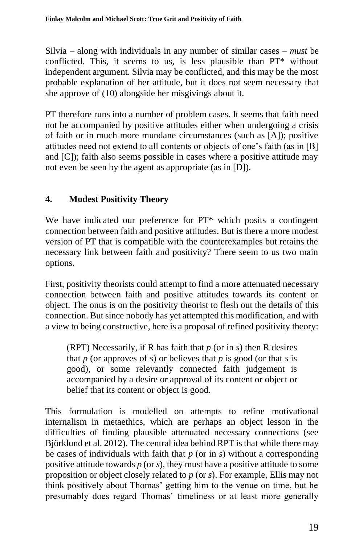Silvia – along with individuals in any number of similar cases – *must* be conflicted. This, it seems to us, is less plausible than PT\* without independent argument. Silvia may be conflicted, and this may be the most probable explanation of her attitude, but it does not seem necessary that she approve of (10) alongside her misgivings about it.

PT therefore runs into a number of problem cases. It seems that faith need not be accompanied by positive attitudes either when undergoing a crisis of faith or in much more mundane circumstances (such as [A]); positive attitudes need not extend to all contents or objects of one's faith (as in [B] and [C]); faith also seems possible in cases where a positive attitude may not even be seen by the agent as appropriate (as in [D]).

# **4. Modest Positivity Theory**

We have indicated our preference for PT\* which posits a contingent connection between faith and positive attitudes. But is there a more modest version of PT that is compatible with the counterexamples but retains the necessary link between faith and positivity? There seem to us two main options.

First, positivity theorists could attempt to find a more attenuated necessary connection between faith and positive attitudes towards its content or object. The onus is on the positivity theorist to flesh out the details of this connection. But since nobody has yet attempted this modification, and with a view to being constructive, here is a proposal of refined positivity theory:

(RPT) Necessarily, if R has faith that *p* (or in *s*) then R desires that  $p$  (or approves of  $s$ ) or believes that  $p$  is good (or that  $s$  is good), or some relevantly connected faith judgement is accompanied by a desire or approval of its content or object or belief that its content or object is good.

This formulation is modelled on attempts to refine motivational internalism in metaethics, which are perhaps an object lesson in the difficulties of finding plausible attenuated necessary connections (see Björklund et al. 2012). The central idea behind RPT is that while there may be cases of individuals with faith that *p* (or in *s*) without a corresponding positive attitude towards *p* (or *s*), they must have a positive attitude to some proposition or object closely related to *p* (or *s*). For example, Ellis may not think positively about Thomas' getting him to the venue on time, but he presumably does regard Thomas' timeliness or at least more generally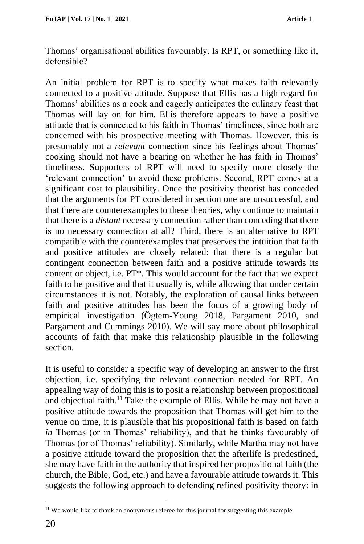Thomas' organisational abilities favourably. Is RPT, or something like it, defensible?

An initial problem for RPT is to specify what makes faith relevantly connected to a positive attitude. Suppose that Ellis has a high regard for Thomas' abilities as a cook and eagerly anticipates the culinary feast that Thomas will lay on for him. Ellis therefore appears to have a positive attitude that is connected to his faith in Thomas' timeliness, since both are concerned with his prospective meeting with Thomas. However, this is presumably not a *relevant* connection since his feelings about Thomas' cooking should not have a bearing on whether he has faith in Thomas' timeliness. Supporters of RPT will need to specify more closely the 'relevant connection' to avoid these problems. Second, RPT comes at a significant cost to plausibility. Once the positivity theorist has conceded that the arguments for PT considered in section one are unsuccessful, and that there are counterexamples to these theories, why continue to maintain that there is a *distant* necessary connection rather than conceding that there is no necessary connection at all? Third, there is an alternative to RPT compatible with the counterexamples that preserves the intuition that faith and positive attitudes are closely related: that there is a regular but contingent connection between faith and a positive attitude towards its content or object, i.e. PT\*. This would account for the fact that we expect faith to be positive and that it usually is, while allowing that under certain circumstances it is not. Notably, the exploration of causal links between faith and positive attitudes has been the focus of a growing body of empirical investigation (Ögtem-Young 2018, Pargament 2010, and Pargament and Cummings 2010). We will say more about philosophical accounts of faith that make this relationship plausible in the following section.

It is useful to consider a specific way of developing an answer to the first objection, i.e. specifying the relevant connection needed for RPT. An appealing way of doing this is to posit a relationship between propositional and objectual faith.<sup>11</sup> Take the example of Ellis. While he may not have a positive attitude towards the proposition that Thomas will get him to the venue on time, it is plausible that his propositional faith is based on faith *in* Thomas (or in Thomas' reliability), and that he thinks favourably of Thomas (or of Thomas' reliability). Similarly, while Martha may not have a positive attitude toward the proposition that the afterlife is predestined, she may have faith in the authority that inspired her propositional faith (the church, the Bible, God, etc.) and have a favourable attitude towards it. This suggests the following approach to defending refined positivity theory: in

<sup>&</sup>lt;sup>11</sup> We would like to thank an anonymous referee for this journal for suggesting this example.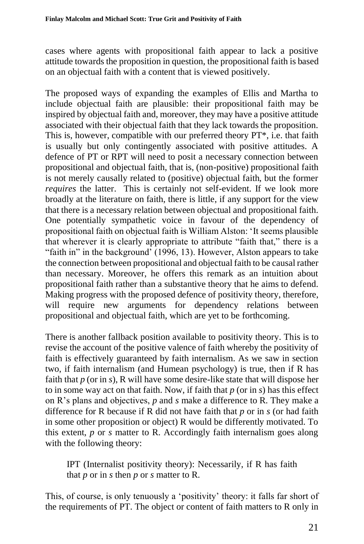cases where agents with propositional faith appear to lack a positive attitude towards the proposition in question, the propositional faith is based on an objectual faith with a content that is viewed positively.

The proposed ways of expanding the examples of Ellis and Martha to include objectual faith are plausible: their propositional faith may be inspired by objectual faith and, moreover, they may have a positive attitude associated with their objectual faith that they lack towards the proposition. This is, however, compatible with our preferred theory PT\*, i.e. that faith is usually but only contingently associated with positive attitudes. A defence of PT or RPT will need to posit a necessary connection between propositional and objectual faith, that is, (non-positive) propositional faith is not merely causally related to (positive) objectual faith, but the former *requires* the latter. This is certainly not self-evident. If we look more broadly at the literature on faith, there is little, if any support for the view that there is a necessary relation between objectual and propositional faith. One potentially sympathetic voice in favour of the dependency of propositional faith on objectual faith is William Alston: 'It seems plausible that wherever it is clearly appropriate to attribute "faith that," there is a "faith in" in the background' (1996, 13). However, Alston appears to take the connection between propositional and objectual faith to be causal rather than necessary. Moreover, he offers this remark as an intuition about propositional faith rather than a substantive theory that he aims to defend. Making progress with the proposed defence of positivity theory, therefore, will require new arguments for dependency relations between propositional and objectual faith, which are yet to be forthcoming.

There is another fallback position available to positivity theory. This is to revise the account of the positive valence of faith whereby the positivity of faith is effectively guaranteed by faith internalism. As we saw in section two, if faith internalism (and Humean psychology) is true, then if R has faith that *p* (or in *s*), R will have some desire-like state that will dispose her to in some way act on that faith. Now, if faith that *p* (or in *s*) has this effect on R's plans and objectives, *p* and *s* make a difference to R. They make a difference for R because if R did not have faith that *p* or in *s* (or had faith in some other proposition or object) R would be differently motivated. To this extent, *p* or *s* matter to R. Accordingly faith internalism goes along with the following theory:

IPT (Internalist positivity theory): Necessarily, if R has faith that *p* or in *s* then *p* or *s* matter to R.

This, of course, is only tenuously a 'positivity' theory: it falls far short of the requirements of PT. The object or content of faith matters to R only in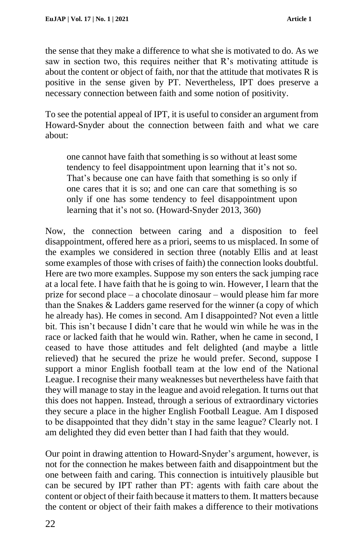the sense that they make a difference to what she is motivated to do. As we saw in section two, this requires neither that R's motivating attitude is about the content or object of faith, nor that the attitude that motivates R is positive in the sense given by PT. Nevertheless, IPT does preserve a necessary connection between faith and some notion of positivity.

To see the potential appeal of IPT, it is useful to consider an argument from Howard-Snyder about the connection between faith and what we care about:

one cannot have faith that something is so without at least some tendency to feel disappointment upon learning that it's not so. That's because one can have faith that something is so only if one cares that it is so; and one can care that something is so only if one has some tendency to feel disappointment upon learning that it's not so. (Howard-Snyder 2013, 360)

Now, the connection between caring and a disposition to feel disappointment, offered here as a priori, seems to us misplaced. In some of the examples we considered in section three (notably Ellis and at least some examples of those with crises of faith) the connection looks doubtful. Here are two more examples. Suppose my son enters the sack jumping race at a local fete. I have faith that he is going to win. However, I learn that the prize for second place – a chocolate dinosaur – would please him far more than the Snakes & Ladders game reserved for the winner (a copy of which he already has). He comes in second. Am I disappointed? Not even a little bit. This isn't because I didn't care that he would win while he was in the race or lacked faith that he would win. Rather, when he came in second, I ceased to have those attitudes and felt delighted (and maybe a little relieved) that he secured the prize he would prefer. Second, suppose I support a minor English football team at the low end of the National League. I recognise their many weaknesses but nevertheless have faith that they will manage to stay in the league and avoid relegation. It turns out that this does not happen. Instead, through a serious of extraordinary victories they secure a place in the higher English Football League. Am I disposed to be disappointed that they didn't stay in the same league? Clearly not. I am delighted they did even better than I had faith that they would.

Our point in drawing attention to Howard-Snyder's argument, however, is not for the connection he makes between faith and disappointment but the one between faith and caring. This connection is intuitively plausible but can be secured by IPT rather than PT: agents with faith care about the content or object of their faith because it matters to them. It matters because the content or object of their faith makes a difference to their motivations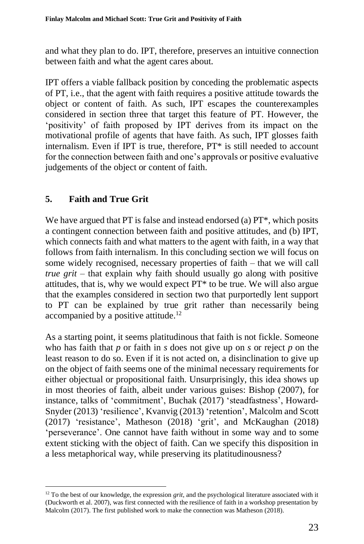and what they plan to do. IPT, therefore, preserves an intuitive connection between faith and what the agent cares about.

IPT offers a viable fallback position by conceding the problematic aspects of PT, i.e., that the agent with faith requires a positive attitude towards the object or content of faith. As such, IPT escapes the counterexamples considered in section three that target this feature of PT. However, the 'positivity' of faith proposed by IPT derives from its impact on the motivational profile of agents that have faith. As such, IPT glosses faith internalism. Even if IPT is true, therefore, PT\* is still needed to account for the connection between faith and one's approvals or positive evaluative judgements of the object or content of faith.

## **5. Faith and True Grit**

We have argued that PT is false and instead endorsed (a) PT\*, which posits a contingent connection between faith and positive attitudes, and (b) IPT, which connects faith and what matters to the agent with faith, in a way that follows from faith internalism. In this concluding section we will focus on some widely recognised, necessary properties of faith – that we will call *true grit* – that explain why faith should usually go along with positive attitudes, that is, why we would expect PT\* to be true. We will also argue that the examples considered in section two that purportedly lent support to PT can be explained by true grit rather than necessarily being accompanied by a positive attitude.<sup>12</sup>

As a starting point, it seems platitudinous that faith is not fickle. Someone who has faith that *p* or faith in *s* does not give up on *s* or reject *p* on the least reason to do so. Even if it is not acted on, a disinclination to give up on the object of faith seems one of the minimal necessary requirements for either objectual or propositional faith. Unsurprisingly, this idea shows up in most theories of faith, albeit under various guises: Bishop (2007), for instance, talks of 'commitment', Buchak (2017) 'steadfastness', Howard-Snyder (2013) 'resilience', Kvanvig (2013) 'retention', Malcolm and Scott (2017) 'resistance', Matheson (2018) 'grit', and McKaughan (2018) 'perseverance'. One cannot have faith without in some way and to some extent sticking with the object of faith. Can we specify this disposition in a less metaphorical way, while preserving its platitudinousness?

<sup>&</sup>lt;sup>12</sup> To the best of our knowledge, the expression *grit*, and the psychological literature associated with it (Duckworth et al. 2007), was first connected with the resilience of faith in a workshop presentation by Malcolm (2017). The first published work to make the connection was Matheson (2018).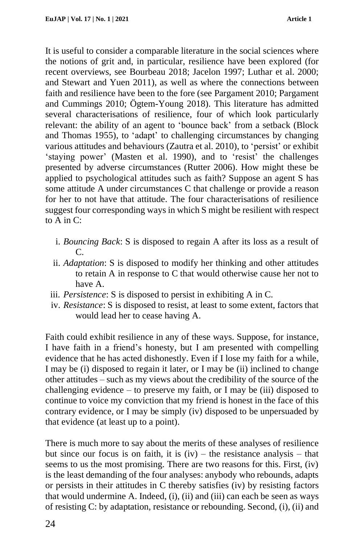It is useful to consider a comparable literature in the social sciences where the notions of grit and, in particular, resilience have been explored (for recent overviews, see Bourbeau 2018; Jacelon 1997; Luthar et al. 2000; and Stewart and Yuen 2011), as well as where the connections between faith and resilience have been to the fore (see Pargament 2010; Pargament and Cummings 2010; Ögtem-Young 2018). This literature has admitted several characterisations of resilience, four of which look particularly relevant: the ability of an agent to 'bounce back' from a setback (Block and Thomas 1955), to 'adapt' to challenging circumstances by changing various attitudes and behaviours (Zautra et al. 2010), to 'persist' or exhibit 'staying power' (Masten et al. 1990), and to 'resist' the challenges presented by adverse circumstances (Rutter 2006). How might these be applied to psychological attitudes such as faith? Suppose an agent S has some attitude A under circumstances C that challenge or provide a reason for her to not have that attitude. The four characterisations of resilience suggest four corresponding ways in which S might be resilient with respect to A in C:

- i. *Bouncing Back*: S is disposed to regain A after its loss as a result of  $\mathcal{C}$
- ii. *Adaptation*: S is disposed to modify her thinking and other attitudes to retain A in response to C that would otherwise cause her not to have A.
- iii. *Persistence*: S is disposed to persist in exhibiting A in C.
- iv. *Resistance*: S is disposed to resist, at least to some extent, factors that would lead her to cease having A.

Faith could exhibit resilience in any of these ways. Suppose, for instance, I have faith in a friend's honesty, but I am presented with compelling evidence that he has acted dishonestly. Even if I lose my faith for a while, I may be (i) disposed to regain it later, or I may be (ii) inclined to change other attitudes – such as my views about the credibility of the source of the challenging evidence – to preserve my faith, or I may be (iii) disposed to continue to voice my conviction that my friend is honest in the face of this contrary evidence, or I may be simply (iv) disposed to be unpersuaded by that evidence (at least up to a point).

There is much more to say about the merits of these analyses of resilience but since our focus is on faith, it is  $(iv)$  – the resistance analysis – that seems to us the most promising. There are two reasons for this. First, (iv) is the least demanding of the four analyses: anybody who rebounds, adapts or persists in their attitudes in C thereby satisfies (iv) by resisting factors that would undermine A. Indeed, (i), (ii) and (iii) can each be seen as ways of resisting C: by adaptation, resistance or rebounding. Second, (i), (ii) and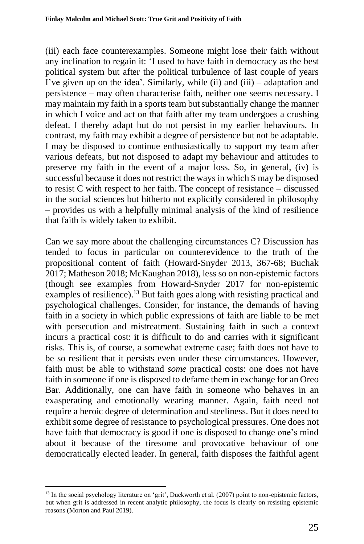(iii) each face counterexamples. Someone might lose their faith without any inclination to regain it: 'I used to have faith in democracy as the best political system but after the political turbulence of last couple of years I've given up on the idea'. Similarly, while (ii) and (iii) – adaptation and persistence – may often characterise faith, neither one seems necessary. I may maintain my faith in a sports team but substantially change the manner in which I voice and act on that faith after my team undergoes a crushing defeat. I thereby adapt but do not persist in my earlier behaviours. In contrast, my faith may exhibit a degree of persistence but not be adaptable. I may be disposed to continue enthusiastically to support my team after various defeats, but not disposed to adapt my behaviour and attitudes to preserve my faith in the event of a major loss. So, in general, (iv) is successful because it does not restrict the ways in which S may be disposed to resist C with respect to her faith. The concept of resistance – discussed in the social sciences but hitherto not explicitly considered in philosophy – provides us with a helpfully minimal analysis of the kind of resilience that faith is widely taken to exhibit.

Can we say more about the challenging circumstances C? Discussion has tended to focus in particular on counterevidence to the truth of the propositional content of faith (Howard-Snyder 2013, 367-68; Buchak 2017; Matheson 2018; McKaughan 2018), less so on non-epistemic factors (though see examples from Howard-Snyder 2017 for non-epistemic examples of resilience).<sup>13</sup> But faith goes along with resisting practical and psychological challenges. Consider, for instance, the demands of having faith in a society in which public expressions of faith are liable to be met with persecution and mistreatment. Sustaining faith in such a context incurs a practical cost: it is difficult to do and carries with it significant risks. This is, of course, a somewhat extreme case; faith does not have to be so resilient that it persists even under these circumstances. However, faith must be able to withstand *some* practical costs: one does not have faith in someone if one is disposed to defame them in exchange for an Oreo Bar. Additionally, one can have faith in someone who behaves in an exasperating and emotionally wearing manner. Again, faith need not require a heroic degree of determination and steeliness. But it does need to exhibit some degree of resistance to psychological pressures. One does not have faith that democracy is good if one is disposed to change one's mind about it because of the tiresome and provocative behaviour of one democratically elected leader. In general, faith disposes the faithful agent

<sup>&</sup>lt;sup>13</sup> In the social psychology literature on 'grit', Duckworth et al. (2007) point to non-epistemic factors, but when grit is addressed in recent analytic philosophy, the focus is clearly on resisting epistemic reasons (Morton and Paul 2019).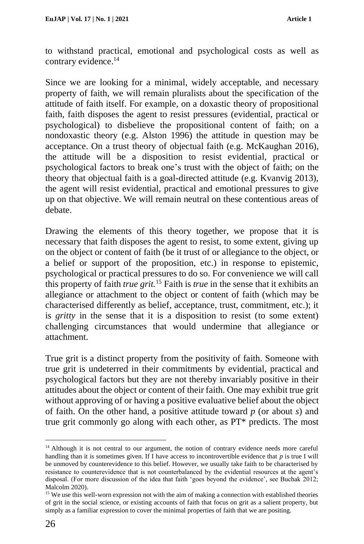to withstand practical, emotional and psychological costs as well as contrary evidence.<sup>14</sup>

Since we are looking for a minimal, widely acceptable, and necessary property of faith, we will remain pluralists about the specification of the attitude of faith itself. For example, on a doxastic theory of propositional faith, faith disposes the agent to resist pressures (evidential, practical or psychological) to disbelieve the propositional content of faith; on a nondoxastic theory (e.g. Alston 1996) the attitude in question may be acceptance. On a trust theory of objectual faith (e.g. McKaughan 2016), the attitude will be a disposition to resist evidential, practical or psychological factors to break one's trust with the object of faith; on the theory that objectual faith is a goal-directed attitude (e.g. Kvanvig 2013), the agent will resist evidential, practical and emotional pressures to give up on that objective. We will remain neutral on these contentious areas of debate.

Drawing the elements of this theory together, we propose that it is necessary that faith disposes the agent to resist, to some extent, giving up on the object or content of faith (be it trust of or allegiance to the object, or a belief or support of the proposition, etc.) in response to epistemic, psychological or practical pressures to do so. For convenience we will call this property of faith *true grit.* <sup>15</sup> Faith is *true* in the sense that it exhibits an allegiance or attachment to the object or content of faith (which may be characterised differently as belief, acceptance, trust, commitment, etc.); it is *gritty* in the sense that it is a disposition to resist (to some extent) challenging circumstances that would undermine that allegiance or attachment.

True grit is a distinct property from the positivity of faith. Someone with true grit is undeterred in their commitments by evidential, practical and psychological factors but they are not thereby invariably positive in their attitudes about the object or content of their faith. One may exhibit true grit without approving of or having a positive evaluative belief about the object of faith. On the other hand, a positive attitude toward *p* (or about *s*) and true grit commonly go along with each other, as PT\* predicts. The most

<sup>&</sup>lt;sup>14</sup> Although it is not central to our argument, the notion of contrary evidence needs more careful handling than it is sometimes given. If I have access to incontrovertible evidence that *p* is true I will be unmoved by counterevidence to this belief. However, we usually take faith to be characterised by resistance to counterevidence that is not counterbalanced by the evidential resources at the agent's disposal. (For more discussion of the idea that faith 'goes beyond the evidence', see Buchak 2012; Malcolm 2020).

<sup>&</sup>lt;sup>15</sup> We use this well-worn expression not with the aim of making a connection with established theories of grit in the social science, or existing accounts of faith that focus on grit as a salient property, but simply as a familiar expression to cover the minimal properties of faith that we are positing.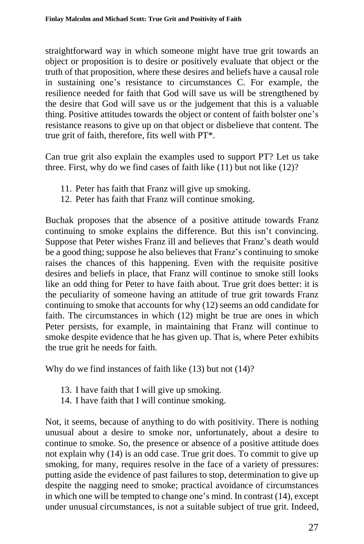straightforward way in which someone might have true grit towards an object or proposition is to desire or positively evaluate that object or the truth of that proposition, where these desires and beliefs have a causal role in sustaining one's resistance to circumstances C. For example, the resilience needed for faith that God will save us will be strengthened by the desire that God will save us or the judgement that this is a valuable thing. Positive attitudes towards the object or content of faith bolster one's resistance reasons to give up on that object or disbelieve that content. The true grit of faith, therefore, fits well with PT\*.

Can true grit also explain the examples used to support PT? Let us take three. First, why do we find cases of faith like (11) but not like (12)?

- 11. Peter has faith that Franz will give up smoking.
- 12. Peter has faith that Franz will continue smoking.

Buchak proposes that the absence of a positive attitude towards Franz continuing to smoke explains the difference. But this isn't convincing. Suppose that Peter wishes Franz ill and believes that Franz's death would be a good thing; suppose he also believes that Franz's continuing to smoke raises the chances of this happening. Even with the requisite positive desires and beliefs in place, that Franz will continue to smoke still looks like an odd thing for Peter to have faith about. True grit does better: it is the peculiarity of someone having an attitude of true grit towards Franz continuing to smoke that accounts for why (12) seems an odd candidate for faith. The circumstances in which (12) might be true are ones in which Peter persists, for example, in maintaining that Franz will continue to smoke despite evidence that he has given up. That is, where Peter exhibits the true grit he needs for faith.

Why do we find instances of faith like (13) but not (14)?

- 13. I have faith that I will give up smoking.
- 14. I have faith that I will continue smoking.

Not, it seems, because of anything to do with positivity. There is nothing unusual about a desire to smoke nor, unfortunately, about a desire to continue to smoke. So, the presence or absence of a positive attitude does not explain why (14) is an odd case. True grit does. To commit to give up smoking, for many, requires resolve in the face of a variety of pressures: putting aside the evidence of past failures to stop, determination to give up despite the nagging need to smoke; practical avoidance of circumstances in which one will be tempted to change one's mind. In contrast (14), except under unusual circumstances, is not a suitable subject of true grit. Indeed,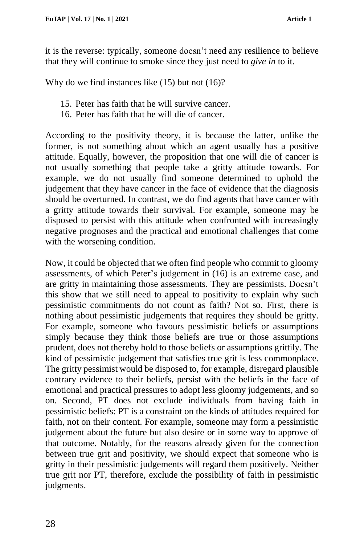it is the reverse: typically, someone doesn't need any resilience to believe that they will continue to smoke since they just need to *give in* to it.

Why do we find instances like (15) but not (16)?

- 15. Peter has faith that he will survive cancer.
- 16. Peter has faith that he will die of cancer.

According to the positivity theory, it is because the latter, unlike the former, is not something about which an agent usually has a positive attitude. Equally, however, the proposition that one will die of cancer is not usually something that people take a gritty attitude towards. For example, we do not usually find someone determined to uphold the judgement that they have cancer in the face of evidence that the diagnosis should be overturned. In contrast, we do find agents that have cancer with a gritty attitude towards their survival. For example, someone may be disposed to persist with this attitude when confronted with increasingly negative prognoses and the practical and emotional challenges that come with the worsening condition.

Now, it could be objected that we often find people who commit to gloomy assessments, of which Peter's judgement in (16) is an extreme case, and are gritty in maintaining those assessments. They are pessimists. Doesn't this show that we still need to appeal to positivity to explain why such pessimistic commitments do not count as faith? Not so. First, there is nothing about pessimistic judgements that requires they should be gritty. For example, someone who favours pessimistic beliefs or assumptions simply because they think those beliefs are true or those assumptions prudent, does not thereby hold to those beliefs or assumptions grittily. The kind of pessimistic judgement that satisfies true grit is less commonplace. The gritty pessimist would be disposed to, for example, disregard plausible contrary evidence to their beliefs, persist with the beliefs in the face of emotional and practical pressures to adopt less gloomy judgements, and so on. Second, PT does not exclude individuals from having faith in pessimistic beliefs: PT is a constraint on the kinds of attitudes required for faith, not on their content. For example, someone may form a pessimistic judgement about the future but also desire or in some way to approve of that outcome. Notably, for the reasons already given for the connection between true grit and positivity, we should expect that someone who is gritty in their pessimistic judgements will regard them positively. Neither true grit nor PT, therefore, exclude the possibility of faith in pessimistic judgments.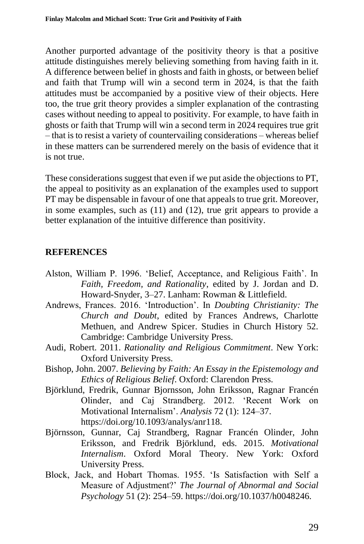Another purported advantage of the positivity theory is that a positive attitude distinguishes merely believing something from having faith in it. A difference between belief in ghosts and faith in ghosts, or between belief and faith that Trump will win a second term in 2024, is that the faith attitudes must be accompanied by a positive view of their objects. Here too, the true grit theory provides a simpler explanation of the contrasting cases without needing to appeal to positivity. For example, to have faith in ghosts or faith that Trump will win a second term in 2024 requires true grit – that is to resist a variety of countervailing considerations – whereas belief in these matters can be surrendered merely on the basis of evidence that it is not true.

These considerations suggest that even if we put aside the objections to PT, the appeal to positivity as an explanation of the examples used to support PT may be dispensable in favour of one that appeals to true grit. Moreover, in some examples, such as (11) and (12), true grit appears to provide a better explanation of the intuitive difference than positivity.

## **REFERENCES**

- Alston, William P. 1996. 'Belief, Acceptance, and Religious Faith'. In *Faith, Freedom, and Rationality*, edited by J. Jordan and D. Howard-Snyder, 3–27. Lanham: Rowman & Littlefield.
- Andrews, Frances. 2016. 'Introduction'. In *Doubting Christianity: The Church and Doubt*, edited by Frances Andrews, Charlotte Methuen, and Andrew Spicer. Studies in Church History 52. Cambridge: Cambridge University Press.
- Audi, Robert. 2011. *Rationality and Religious Commitment*. New York: Oxford University Press.
- Bishop, John. 2007. *Believing by Faith: An Essay in the Epistemology and Ethics of Religious Belief*. Oxford: Clarendon Press.
- Björklund, Fredrik, Gunnar Bjornsson, John Eriksson, Ragnar Francén Olinder, and Caj Strandberg. 2012. 'Recent Work on Motivational Internalism'. *Analysis* 72 (1): 124–37. https://doi.org/10.1093/analys/anr118.
- Björnsson, Gunnar, Caj Strandberg, Ragnar Francén Olinder, John Eriksson, and Fredrik Björklund, eds. 2015. *Motivational Internalism*. Oxford Moral Theory. New York: Oxford University Press.
- Block, Jack, and Hobart Thomas. 1955. 'Is Satisfaction with Self a Measure of Adjustment?' *The Journal of Abnormal and Social Psychology* 51 (2): 254–59. https://doi.org/10.1037/h0048246.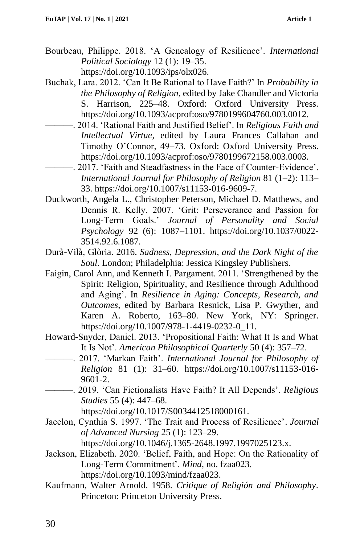- Bourbeau, Philippe. 2018. 'A Genealogy of Resilience'. *International Political Sociology* 12 (1): 19–35. https://doi.org/10.1093/ips/olx026.
- Buchak, Lara. 2012. 'Can It Be Rational to Have Faith?' In *Probability in the Philosophy of Religion*, edited by Jake Chandler and Victoria S. Harrison, 225–48. Oxford: Oxford University Press. https://doi.org/10.1093/acprof:oso/9780199604760.003.0012.
- ———. 2014. 'Rational Faith and Justified Belief'. In *Religious Faith and Intellectual Virtue*, edited by Laura Frances Callahan and Timothy O'Connor, 49–73. Oxford: Oxford University Press. https://doi.org/10.1093/acprof:oso/9780199672158.003.0003.
- ———. 2017. 'Faith and Steadfastness in the Face of Counter-Evidence'. *International Journal for Philosophy of Religion* 81 (1–2): 113– 33. https://doi.org/10.1007/s11153-016-9609-7.
- Duckworth, Angela L., Christopher Peterson, Michael D. Matthews, and Dennis R. Kelly. 2007. 'Grit: Perseverance and Passion for Long-Term Goals.' *Journal of Personality and Social Psychology* 92 (6): 1087–1101. https://doi.org/10.1037/0022- 3514.92.6.1087.
- Durà-Vilà, Glòria. 2016. *Sadness, Depression, and the Dark Night of the Soul*. London; Philadelphia: Jessica Kingsley Publishers.
- Faigin, Carol Ann, and Kenneth I. Pargament. 2011. 'Strengthened by the Spirit: Religion, Spirituality, and Resilience through Adulthood and Aging'. In *Resilience in Aging: Concepts, Research, and Outcomes*, edited by Barbara Resnick, Lisa P. Gwyther, and Karen A. Roberto, 163–80. New York, NY: Springer. https://doi.org/10.1007/978-1-4419-0232-0\_11.
- Howard-Snyder, Daniel. 2013. 'Propositional Faith: What It Is and What It Is Not'. *American Philosophical Quarterly* 50 (4): 357–72.
- ———. 2017. 'Markan Faith'. *International Journal for Philosophy of Religion* 81 (1): 31–60. https://doi.org/10.1007/s11153-016- 9601-2.
- ———. 2019. 'Can Fictionalists Have Faith? It All Depends'. *Religious Studies* 55 (4): 447–68.

https://doi.org/10.1017/S0034412518000161.

- Jacelon, Cynthia S. 1997. 'The Trait and Process of Resilience'. *Journal of Advanced Nursing* 25 (1): 123–29. https://doi.org/10.1046/j.1365-2648.1997.1997025123.x.
- Jackson, Elizabeth. 2020. 'Belief, Faith, and Hope: On the Rationality of Long-Term Commitment'. *Mind*, no. fzaa023. https://doi.org/10.1093/mind/fzaa023.
- Kaufmann, Walter Arnold. 1958. *Critique of Religión and Philosophy*. Princeton: Princeton University Press.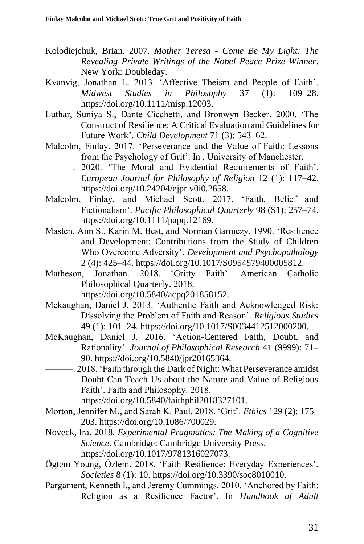- Kolodiejchuk, Brian. 2007. *Mother Teresa - Come Be My Light: The Revealing Private Writings of the Nobel Peace Prize Winner*. New York: Doubleday.
- Kvanvig, Jonathan L. 2013. 'Affective Theism and People of Faith'. *Midwest Studies in Philosophy* 37 (1): 109–28. https://doi.org/10.1111/misp.12003.
- Luthar, Suniya S., Dante Cicchetti, and Bronwyn Becker. 2000. 'The Construct of Resilience: A Critical Evaluation and Guidelines for Future Work'. *Child Development* 71 (3): 543–62.
- Malcolm, Finlay. 2017. 'Perseverance and the Value of Faith: Lessons from the Psychology of Grit'. In . University of Manchester.
- ———. 2020. 'The Moral and Evidential Requirements of Faith'. *European Journal for Philosophy of Religion* 12 (1): 117–42. https://doi.org/10.24204/ejpr.v0i0.2658.
- Malcolm, Finlay, and Michael Scott. 2017. 'Faith, Belief and Fictionalism'. *Pacific Philosophical Quarterly* 98 (S1): 257–74. https://doi.org/10.1111/papq.12169.
- Masten, Ann S., Karin M. Best, and Norman Garmezy. 1990. 'Resilience and Development: Contributions from the Study of Children Who Overcome Adversity'. *Development and Psychopathology* 2 (4): 425–44. https://doi.org/10.1017/S0954579400005812.
- Matheson, Jonathan. 2018. 'Gritty Faith'. American Catholic Philosophical Quarterly. 2018.

https://doi.org/10.5840/acpq201858152.

- Mckaughan, Daniel J. 2013. 'Authentic Faith and Acknowledged Risk: Dissolving the Problem of Faith and Reason'. *Religious Studies* 49 (1): 101–24. https://doi.org/10.1017/S0034412512000200.
- McKaughan, Daniel J. 2016. 'Action-Centered Faith, Doubt, and Rationality'. *Journal of Philosophical Research* 41 (9999): 71– 90. https://doi.org/10.5840/jpr20165364.
- ———. 2018. 'Faith through the Dark of Night: What Perseverance amidst Doubt Can Teach Us about the Nature and Value of Religious Faith'. Faith and Philosophy. 2018.

https://doi.org/10.5840/faithphil2018327101.

- Morton, Jennifer M., and Sarah K. Paul. 2018. 'Grit'. *Ethics* 129 (2): 175– 203. https://doi.org/10.1086/700029.
- Noveck, Ira. 2018. *Experimental Pragmatics: The Making of a Cognitive Science*. Cambridge: Cambridge University Press. https://doi.org/10.1017/9781316027073.
- Ögtem-Young, Özlem. 2018. 'Faith Resilience: Everyday Experiences'. *Societies* 8 (1): 10. https://doi.org/10.3390/soc8010010.
- Pargament, Kenneth I., and Jeremy Cummings. 2010. 'Anchored by Faith: Religion as a Resilience Factor'. In *Handbook of Adult*